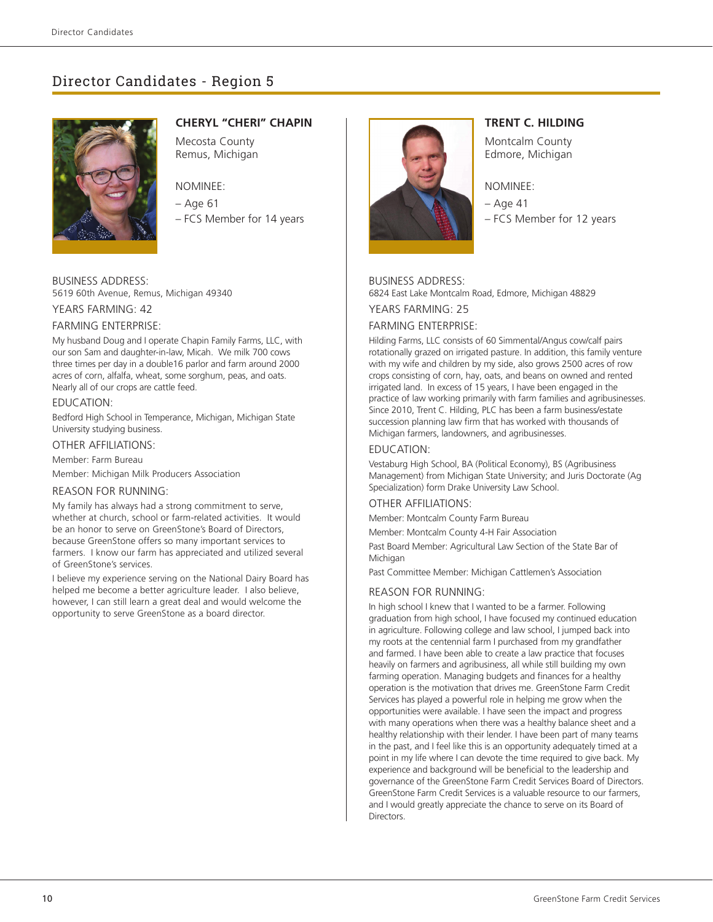# Director Candidates - Region 5



# **CHERYL "CHERI" CHAPIN**

Mecosta County Remus, Michigan

# NOMINEE:

– Age 61

– FCS Member for 14 years

# BUSINESS ADDRESS: 5619 60th Avenue, Remus, Michigan 49340

YEARS FARMING: 42

#### FARMING ENTERPRISE:

My husband Doug and I operate Chapin Family Farms, LLC, with our son Sam and daughter-in-law, Micah. We milk 700 cows three times per day in a double16 parlor and farm around 2000 acres of corn, alfalfa, wheat, some sorghum, peas, and oats. Nearly all of our crops are cattle feed.

#### EDUCATION:

Bedford High School in Temperance, Michigan, Michigan State University studying business.

### OTHER AFFILIATIONS:

Member: Farm Bureau

Member: Michigan Milk Producers Association

#### REASON FOR RUNNING:

My family has always had a strong commitment to serve, whether at church, school or farm-related activities. It would be an honor to serve on GreenStone's Board of Directors, because GreenStone offers so many important services to farmers. I know our farm has appreciated and utilized several of GreenStone's services.

I believe my experience serving on the National Dairy Board has helped me become a better agriculture leader. I also believe, however, I can still learn a great deal and would welcome the opportunity to serve GreenStone as a board director.



# **TRENT C. HILDING**

Montcalm County Edmore, Michigan

#### NOMINEE:

– Age 41 – FCS Member for 12 years

### BUSINESS ADDRESS:

6824 East Lake Montcalm Road, Edmore, Michigan 48829

YEARS FARMING: 25

# FARMING ENTERPRISE:

Hilding Farms, LLC consists of 60 Simmental/Angus cow/calf pairs rotationally grazed on irrigated pasture. In addition, this family venture with my wife and children by my side, also grows 2500 acres of row crops consisting of corn, hay, oats, and beans on owned and rented irrigated land. In excess of 15 years, I have been engaged in the practice of law working primarily with farm families and agribusinesses. Since 2010, Trent C. Hilding, PLC has been a farm business/estate succession planning law firm that has worked with thousands of Michigan farmers, landowners, and agribusinesses.

# EDUCATION:

Vestaburg High School, BA (Political Economy), BS (Agribusiness Management) from Michigan State University; and Juris Doctorate (Ag Specialization) form Drake University Law School.

#### OTHER AFFILIATIONS:

Member: Montcalm County Farm Bureau

Member: Montcalm County 4-H Fair Association

Past Board Member: Agricultural Law Section of the State Bar of Michigan

Past Committee Member: Michigan Cattlemen's Association

#### REASON FOR RUNNING:

In high school I knew that I wanted to be a farmer. Following graduation from high school, I have focused my continued education in agriculture. Following college and law school, I jumped back into my roots at the centennial farm I purchased from my grandfather and farmed. I have been able to create a law practice that focuses heavily on farmers and agribusiness, all while still building my own farming operation. Managing budgets and finances for a healthy operation is the motivation that drives me. GreenStone Farm Credit Services has played a powerful role in helping me grow when the opportunities were available. I have seen the impact and progress with many operations when there was a healthy balance sheet and a healthy relationship with their lender. I have been part of many teams in the past, and I feel like this is an opportunity adequately timed at a point in my life where I can devote the time required to give back. My experience and background will be beneficial to the leadership and governance of the GreenStone Farm Credit Services Board of Directors. GreenStone Farm Credit Services is a valuable resource to our farmers, and I would greatly appreciate the chance to serve on its Board of Directors.